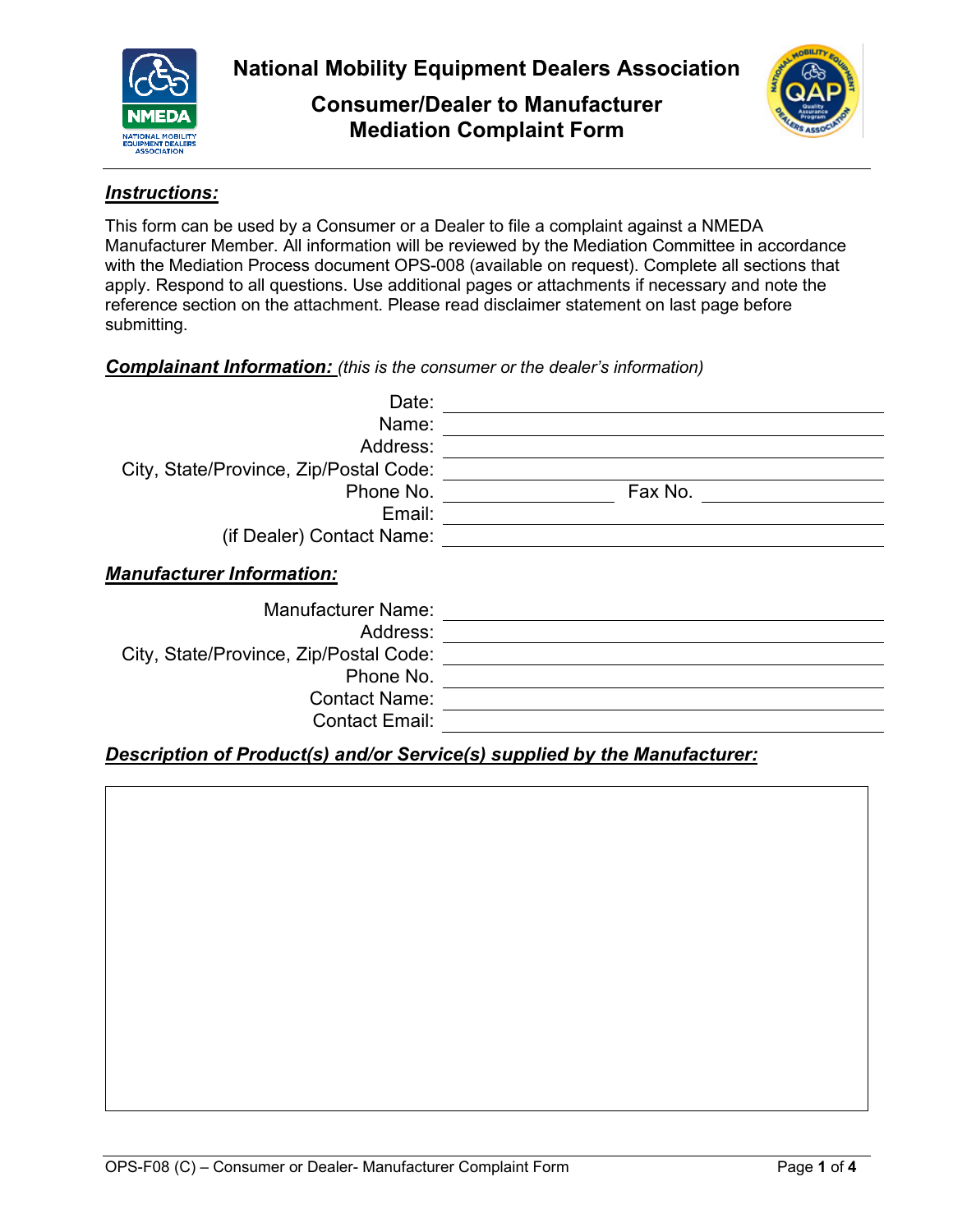

**National Mobility Equipment Dealers Association**

**Consumer/Dealer to Manufacturer Mediation Complaint Form**



### *Instructions:*

This form can be used by a Consumer or a Dealer to file a complaint against a NMEDA Manufacturer Member. All information will be reviewed by the Mediation Committee in accordance with the Mediation Process document OPS-008 (available on request). Complete all sections that apply. Respond to all questions. Use additional pages or attachments if necessary and note the reference section on the attachment. Please read disclaimer statement on last page before submitting.

### *Complainant Information: (this is the consumer or the dealer's information)*

| Date:                                  |         |
|----------------------------------------|---------|
| Name:                                  |         |
| Address:                               |         |
| City, State/Province, Zip/Postal Code: |         |
| Phone No.                              | Fax No. |
| Email:                                 |         |
| (if Dealer) Contact Name:              |         |
| <b>Manufacturer Information:</b>       |         |
| <b>Manufacturer Name:</b>              |         |
| Address:                               |         |
| City, State/Province, Zip/Postal Code: |         |
| Phone No.                              |         |
| <b>Contact Name:</b>                   |         |
| <b>Contact Email:</b>                  |         |

# *Description of Product(s) and/or Service(s) supplied by the Manufacturer:*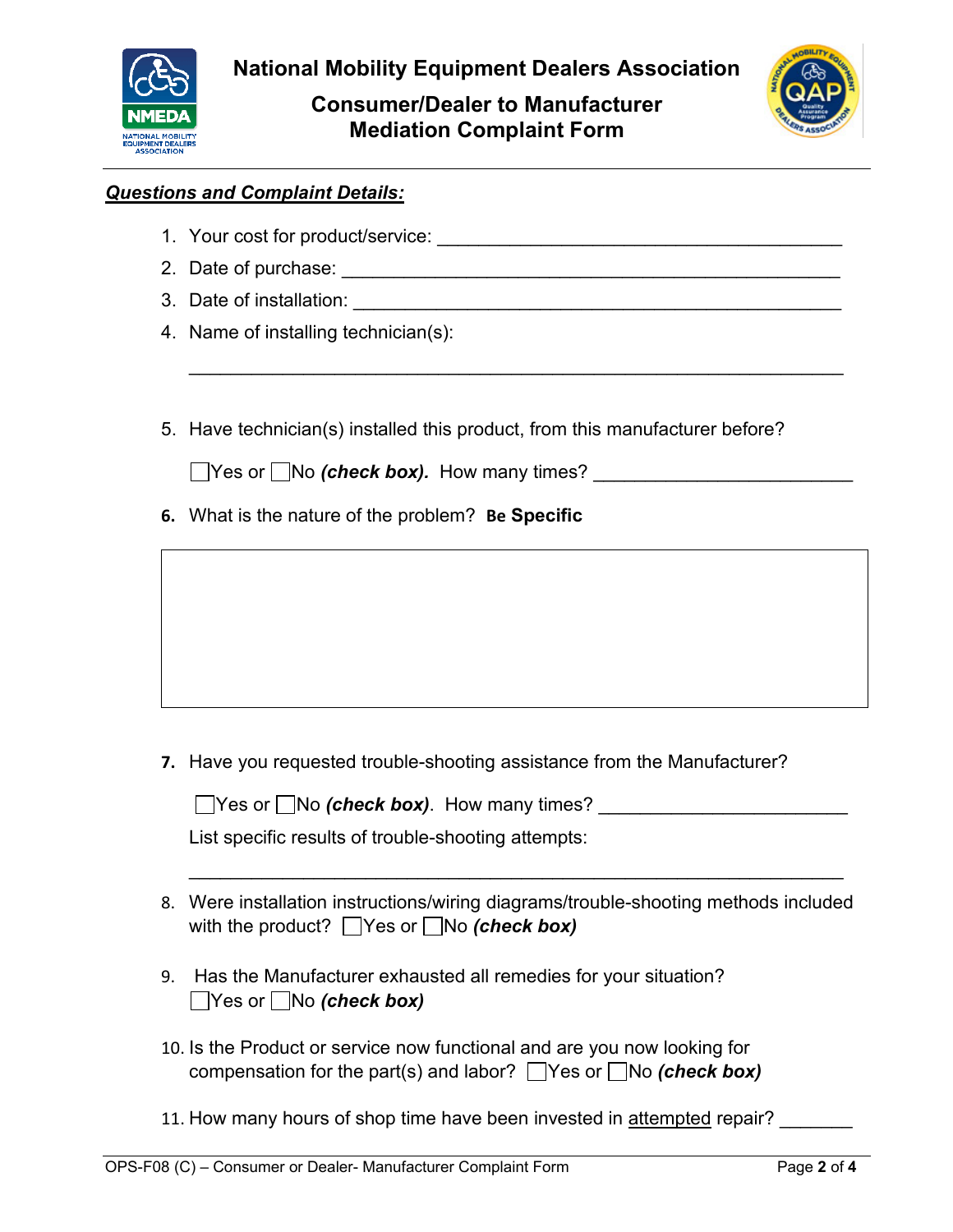

**Consumer/Dealer to Manufacturer Mediation Complaint Form**



## *Questions and Complaint Details:*

- 1. Your cost for product/service: \_\_\_\_\_\_\_\_\_\_\_\_\_\_\_\_\_\_\_\_\_\_\_\_\_\_\_\_\_\_\_\_\_\_\_\_\_\_\_
- 2. Date of purchase: \_\_\_\_\_\_\_\_\_\_\_\_\_\_\_\_\_\_\_\_\_\_\_\_\_\_\_\_\_\_\_\_\_\_\_\_\_\_\_\_\_\_\_\_\_\_\_\_
- 3. Date of installation: \_\_\_\_\_\_\_\_\_\_\_\_
- 4. Name of installing technician(s):
- 5. Have technician(s) installed this product, from this manufacturer before?

\_\_\_\_\_\_\_\_\_\_\_\_\_\_\_\_\_\_\_\_\_\_\_\_\_\_\_\_\_\_\_\_\_\_\_\_\_\_\_\_\_\_\_\_\_\_\_\_\_\_\_\_\_\_\_\_\_\_\_\_\_\_\_

■ Yes or ■ No *(check box)*. How many times?

**6.** What is the nature of the problem? **Be Specific**

**7.** Have you requested trouble-shooting assistance from the Manufacturer?

■ Yes or ■ No *(check box)*. How many times?

List specific results of trouble-shooting attempts:

8. Were installation instructions/wiring diagrams/trouble-shooting methods included with the product?  $\Box$  Yes or  $\Box$  No *(check box)* 

\_\_\_\_\_\_\_\_\_\_\_\_\_\_\_\_\_\_\_\_\_\_\_\_\_\_\_\_\_\_\_\_\_\_\_\_\_\_\_\_\_\_\_\_\_\_\_\_\_\_\_\_\_\_\_\_\_\_\_\_\_\_\_

- 9. Has the Manufacturer exhausted all remedies for your situation? Yes or No *(check box)*
- 10. Is the Product or service now functional and are you now looking for compensation for the part(s) and labor?  $\Box$  Yes or  $\Box$  No *(check box)*
- 11. How many hours of shop time have been invested in attempted repair?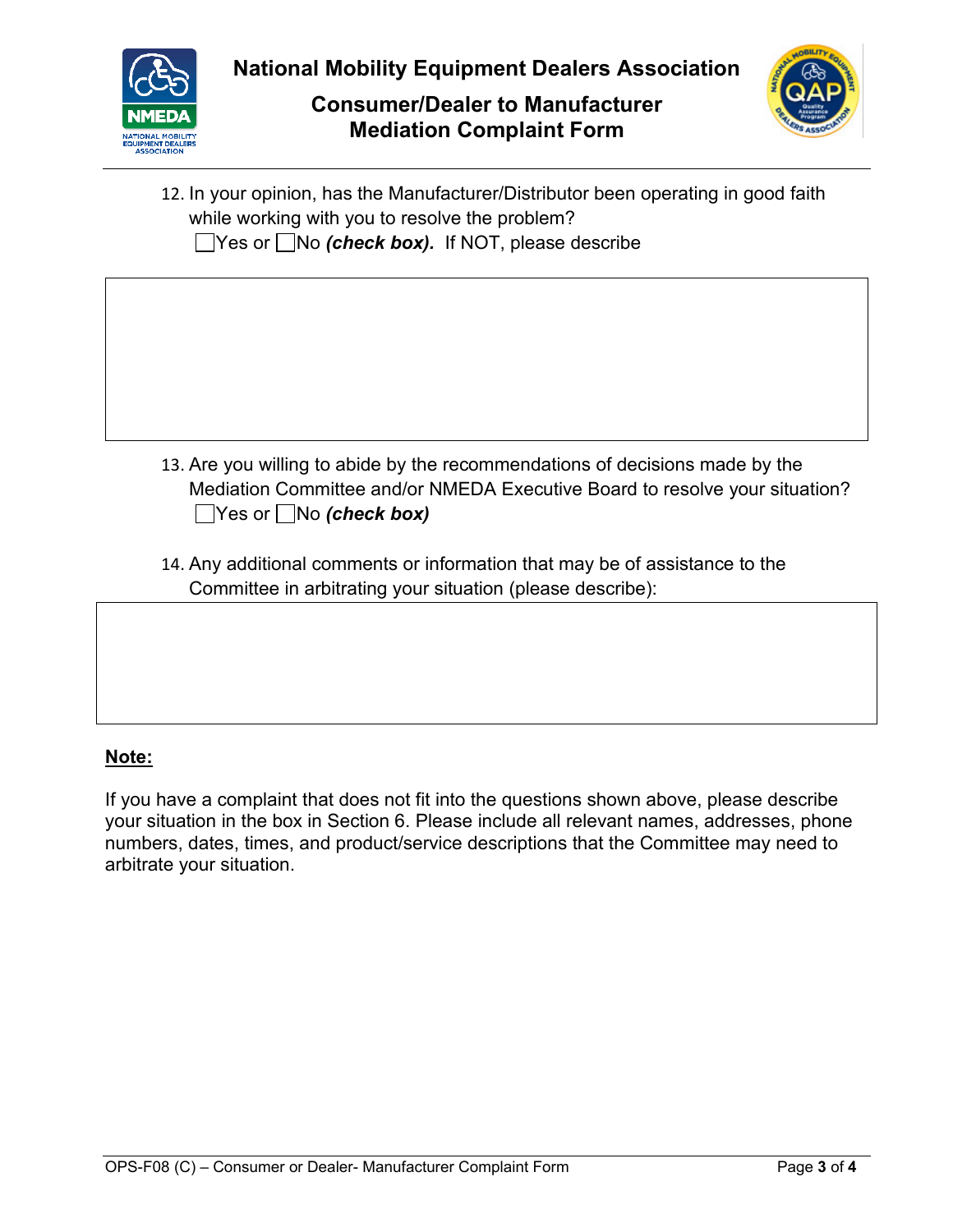

# **Consumer/Dealer to Manufacturer Mediation Complaint Form**



| 12. In your opinion, has the Manufacturer/Distributor been operating in good faith<br>while working with you to resolve the problem?<br>$\blacksquare$ Yes or $\blacksquare$ No <i>(check box).</i> If NOT, please describe |
|-----------------------------------------------------------------------------------------------------------------------------------------------------------------------------------------------------------------------------|
|                                                                                                                                                                                                                             |
|                                                                                                                                                                                                                             |
| 13. Are you willing to abide by the recommendations of decisions made by the<br>Mediation Committee and/or NMEDA Executive Board to resolve your situation?<br>$\Box$ Yes or $\Box$ No <i>(check box)</i>                   |
| 14. Any additional comments or information that may be of assistance to the<br>Committee in arbitrating your situation (please describe):                                                                                   |
|                                                                                                                                                                                                                             |
|                                                                                                                                                                                                                             |

## **Note:**

If you have a complaint that does not fit into the questions shown above, please describe your situation in the box in Section 6. Please include all relevant names, addresses, phone numbers, dates, times, and product/service descriptions that the Committee may need to arbitrate your situation.